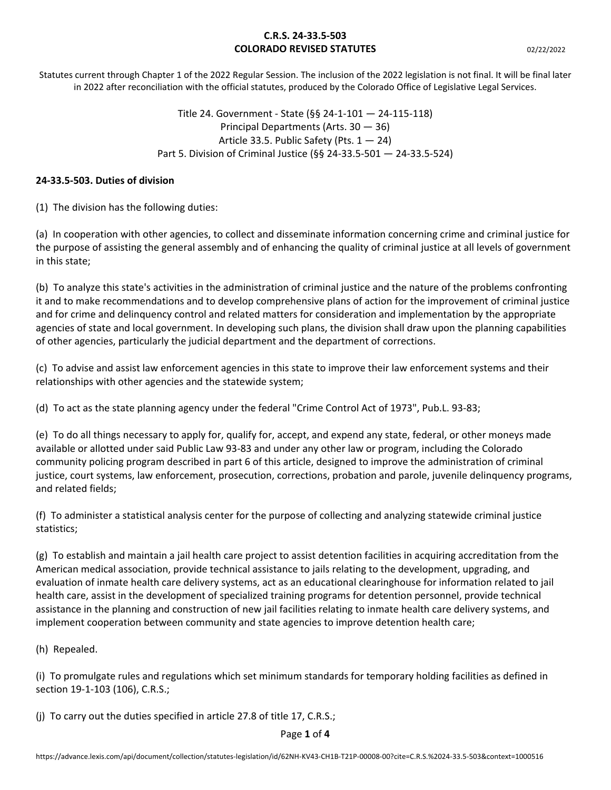Statutes current through Chapter 1 of the 2022 Regular Session. The inclusion of the 2022 legislation is not final. It will be final later in 2022 after reconciliation with the official statutes, produced by the Colorado Office of Legislative Legal Services.

> Title 24. Government - State (§§ 24-1-101 — 24-115-118) Principal Departments (Arts. 30 — 36) Article 33.5. Public Safety (Pts.  $1 - 24$ ) Part 5. Division of Criminal Justice (§§ 24-33.5-501 — 24-33.5-524)

#### **24-33.5-503. Duties of division**

(1) The division has the following duties:

(a) In cooperation with other agencies, to collect and disseminate information concerning crime and criminal justice for the purpose of assisting the general assembly and of enhancing the quality of criminal justice at all levels of government in this state;

(b) To analyze this state's activities in the administration of criminal justice and the nature of the problems confronting it and to make recommendations and to develop comprehensive plans of action for the improvement of criminal justice and for crime and delinquency control and related matters for consideration and implementation by the appropriate agencies of state and local government. In developing such plans, the division shall draw upon the planning capabilities of other agencies, particularly the judicial department and the department of corrections.

(c) To advise and assist law enforcement agencies in this state to improve their law enforcement systems and their relationships with other agencies and the statewide system;

(d) To act as the state planning agency under the federal "Crime Control Act of 1973", Pub.L. 93-83;

(e) To do all things necessary to apply for, qualify for, accept, and expend any state, federal, or other moneys made available or allotted under said Public Law 93-83 and under any other law or program, including the Colorado community policing program described in part 6 of this article, designed to improve the administration of criminal justice, court systems, law enforcement, prosecution, corrections, probation and parole, juvenile delinquency programs, and related fields;

(f) To administer a statistical analysis center for the purpose of collecting and analyzing statewide criminal justice statistics;

(g) To establish and maintain a jail health care project to assist detention facilities in acquiring accreditation from the American medical association, provide technical assistance to jails relating to the development, upgrading, and evaluation of inmate health care delivery systems, act as an educational clearinghouse for information related to jail health care, assist in the development of specialized training programs for detention personnel, provide technical assistance in the planning and construction of new jail facilities relating to inmate health care delivery systems, and implement cooperation between community and state agencies to improve detention health care;

(h) Repealed.

(i) To promulgate rules and regulations which set minimum standards for temporary holding facilities as defined in section 19-1-103 (106), C.R.S.;

(j) To carry out the duties specified in article 27.8 of title 17, C.R.S.;

Page **1** of **4**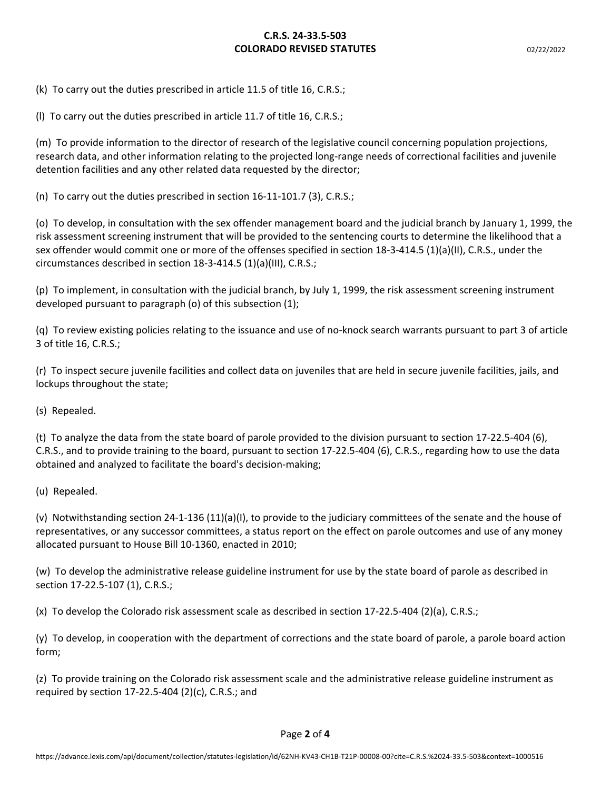(k) To carry out the duties prescribed in article 11.5 of title 16, C.R.S.;

(l) To carry out the duties prescribed in article 11.7 of title 16, C.R.S.;

(m) To provide information to the director of research of the legislative council concerning population projections, research data, and other information relating to the projected long-range needs of correctional facilities and juvenile detention facilities and any other related data requested by the director;

(n) To carry out the duties prescribed in section 16-11-101.7 (3), C.R.S.;

(o) To develop, in consultation with the sex offender management board and the judicial branch by January 1, 1999, the risk assessment screening instrument that will be provided to the sentencing courts to determine the likelihood that a sex offender would commit one or more of the offenses specified in section 18-3-414.5 (1)(a)(II), C.R.S., under the circumstances described in section 18-3-414.5 (1)(a)(III), C.R.S.;

(p) To implement, in consultation with the judicial branch, by July 1, 1999, the risk assessment screening instrument developed pursuant to paragraph (o) of this subsection (1);

(q) To review existing policies relating to the issuance and use of no-knock search warrants pursuant to part 3 of article 3 of title 16, C.R.S.;

(r) To inspect secure juvenile facilities and collect data on juveniles that are held in secure juvenile facilities, jails, and lockups throughout the state;

(s) Repealed.

(t) To analyze the data from the state board of parole provided to the division pursuant to section 17-22.5-404 (6), C.R.S., and to provide training to the board, pursuant to section 17-22.5-404 (6), C.R.S., regarding how to use the data obtained and analyzed to facilitate the board's decision-making;

(u) Repealed.

(v) Notwithstanding section 24-1-136 (11)(a)(I), to provide to the judiciary committees of the senate and the house of representatives, or any successor committees, a status report on the effect on parole outcomes and use of any money allocated pursuant to House Bill 10-1360, enacted in 2010;

(w) To develop the administrative release guideline instrument for use by the state board of parole as described in section 17-22.5-107 (1), C.R.S.;

(x) To develop the Colorado risk assessment scale as described in section 17-22.5-404 (2)(a), C.R.S.;

(y) To develop, in cooperation with the department of corrections and the state board of parole, a parole board action form;

(z) To provide training on the Colorado risk assessment scale and the administrative release guideline instrument as required by section 17-22.5-404 (2)(c), C.R.S.; and

Page **2** of **4**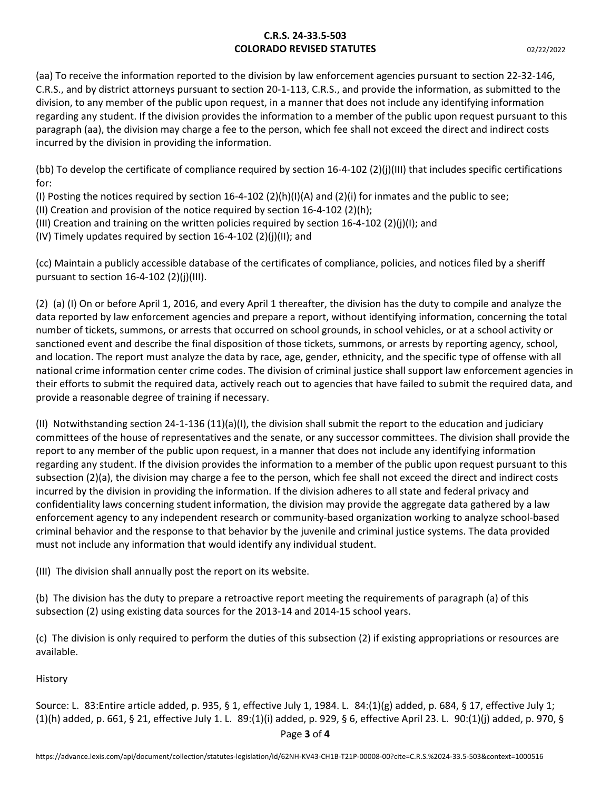(aa) To receive the information reported to the division by law enforcement agencies pursuant to section 22-32-146, C.R.S., and by district attorneys pursuant to section 20-1-113, C.R.S., and provide the information, as submitted to the division, to any member of the public upon request, in a manner that does not include any identifying information regarding any student. If the division provides the information to a member of the public upon request pursuant to this paragraph (aa), the division may charge a fee to the person, which fee shall not exceed the direct and indirect costs incurred by the division in providing the information.

(bb) To develop the certificate of compliance required by section 16-4-102 (2)(j)(III) that includes specific certifications for:

(I) Posting the notices required by section 16-4-102 (2)(h)(I)(A) and (2)(i) for inmates and the public to see;

(II) Creation and provision of the notice required by section 16-4-102 (2)(h);

(III) Creation and training on the written policies required by section 16-4-102 (2)(j)(I); and

(IV) Timely updates required by section  $16-4-102$  (2)(i)(II); and

(cc) Maintain a publicly accessible database of the certificates of compliance, policies, and notices filed by a sheriff pursuant to section  $16-4-102$  (2)(j)(III).

(2) (a) (I) On or before April 1, 2016, and every April 1 thereafter, the division has the duty to compile and analyze the data reported by law enforcement agencies and prepare a report, without identifying information, concerning the total number of tickets, summons, or arrests that occurred on school grounds, in school vehicles, or at a school activity or sanctioned event and describe the final disposition of those tickets, summons, or arrests by reporting agency, school, and location. The report must analyze the data by race, age, gender, ethnicity, and the specific type of offense with all national crime information center crime codes. The division of criminal justice shall support law enforcement agencies in their efforts to submit the required data, actively reach out to agencies that have failed to submit the required data, and provide a reasonable degree of training if necessary.

(II) Notwithstanding section 24-1-136 (11)(a)(I), the division shall submit the report to the education and judiciary committees of the house of representatives and the senate, or any successor committees. The division shall provide the report to any member of the public upon request, in a manner that does not include any identifying information regarding any student. If the division provides the information to a member of the public upon request pursuant to this subsection (2)(a), the division may charge a fee to the person, which fee shall not exceed the direct and indirect costs incurred by the division in providing the information. If the division adheres to all state and federal privacy and confidentiality laws concerning student information, the division may provide the aggregate data gathered by a law enforcement agency to any independent research or community-based organization working to analyze school-based criminal behavior and the response to that behavior by the juvenile and criminal justice systems. The data provided must not include any information that would identify any individual student.

(III) The division shall annually post the report on its website.

(b) The division has the duty to prepare a retroactive report meeting the requirements of paragraph (a) of this subsection (2) using existing data sources for the 2013-14 and 2014-15 school years.

(c) The division is only required to perform the duties of this subsection (2) if existing appropriations or resources are available.

History

Source: L. 83:Entire article added, p. 935, § 1, effective July 1, 1984. L. 84:(1)(g) added, p. 684, § 17, effective July 1; (1)(h) added, p. 661, § 21, effective July 1. L. 89:(1)(i) added, p. 929, § 6, effective April 23. L. 90:(1)(j) added, p. 970, §

Page **3** of **4**